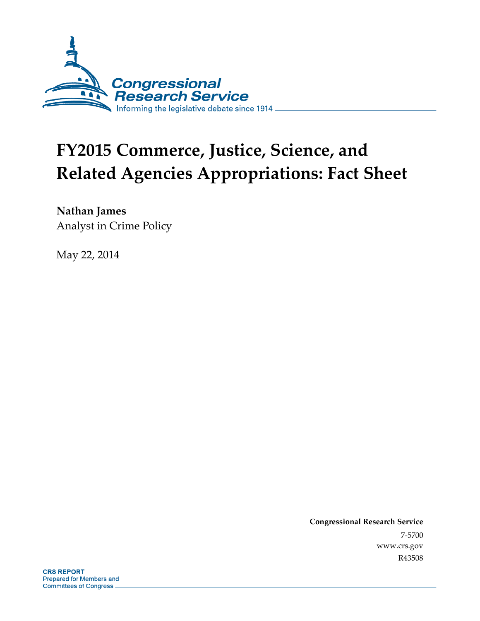

## **FY2015 Commerce, Justice, Science, and Related Agencies Appropriations: Fact Sheet**

**Nathan James** 

Analyst in Crime Policy

May 22, 2014

**Congressional Research Service**  7-5700 www.crs.gov R43508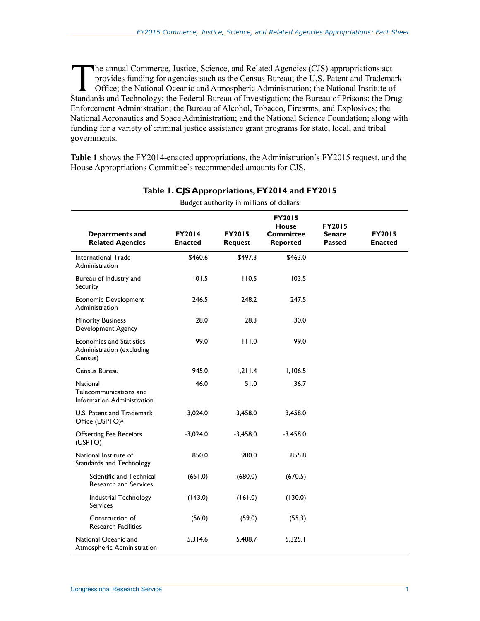he annual Commerce, Justice, Science, and Related Agencies (CJS) appropriations act provides funding for agencies such as the Census Bureau; the U.S. Patent and Trademark Office; the National Oceanic and Atmospheric Administration; the National Institute of The annual Commerce, Justice, Science, and Related Agencies (CJS) appropriations act<br>provides funding for agencies such as the Census Bureau; the U.S. Patent and Trademark<br>Office; the National Oceanic and Atmospheric Admin Enforcement Administration; the Bureau of Alcohol, Tobacco, Firearms, and Explosives; the National Aeronautics and Space Administration; and the National Science Foundation; along with funding for a variety of criminal justice assistance grant programs for state, local, and tribal governments.

**Table 1** shows the FY2014-enacted appropriations, the Administration's FY2015 request, and the House Appropriations Committee's recommended amounts for CJS.

| Budget authority in millions of dollars                                 |                   |                                 |                                                                      |                                   |                          |  |
|-------------------------------------------------------------------------|-------------------|---------------------------------|----------------------------------------------------------------------|-----------------------------------|--------------------------|--|
| Departments and<br><b>Related Agencies</b>                              | FY2014<br>Enacted | <b>FY2015</b><br><b>Request</b> | <b>FY2015</b><br><b>House</b><br><b>Committee</b><br><b>Reported</b> | <b>FY2015</b><br>Senate<br>Passed | <b>FY2015</b><br>Enacted |  |
| International Trade<br>Administration                                   | \$460.6           | \$497.3                         | \$463.0                                                              |                                   |                          |  |
| Bureau of Industry and<br>Security                                      | 101.5             | 110.5                           | 103.5                                                                |                                   |                          |  |
| <b>Economic Development</b><br>Administration                           | 246.5             | 248.2                           | 247.5                                                                |                                   |                          |  |
| <b>Minority Business</b><br>Development Agency                          | 28.0              | 28.3                            | 30.0                                                                 |                                   |                          |  |
| <b>Economics and Statistics</b><br>Administration (excluding<br>Census) | 99.0              | 111.0                           | 99.0                                                                 |                                   |                          |  |
| Census Bureau                                                           | 945.0             | 1,211.4                         | 1,106.5                                                              |                                   |                          |  |
| <b>National</b><br>Telecommunications and<br>Information Administration | 46.0              | 51.0                            | 36.7                                                                 |                                   |                          |  |
| U.S. Patent and Trademark<br>Office (USPTO) <sup>a</sup>                | 3,024.0           | 3,458.0                         | 3,458.0                                                              |                                   |                          |  |
| <b>Offsetting Fee Receipts</b><br>(USPTO)                               | $-3,024.0$        | $-3,458.0$                      | $-3.458.0$                                                           |                                   |                          |  |
| National Institute of<br>Standards and Technology                       | 850.0             | 900.0                           | 855.8                                                                |                                   |                          |  |
| Scientific and Technical<br><b>Research and Services</b>                | (651.0)           | (680.0)                         | (670.5)                                                              |                                   |                          |  |
| Industrial Technology<br><b>Services</b>                                | (143.0)           | (161.0)                         | (130.0)                                                              |                                   |                          |  |
| Construction of<br><b>Research Facilities</b>                           | (56.0)            | (59.0)                          | (55.3)                                                               |                                   |                          |  |
| National Oceanic and<br>Atmospheric Administration                      | 5,314.6           | 5,488.7                         | 5,325.1                                                              |                                   |                          |  |

## **Table 1. CJS Appropriations, FY2014 and FY2015**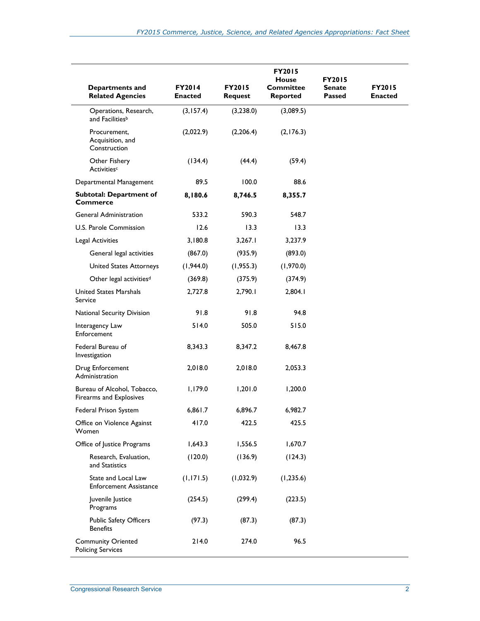| Departments and<br><b>Related Agencies</b>             | <b>FY2014</b><br><b>Enacted</b> | <b>FY2015</b><br><b>Request</b> | <b>FY2015</b><br>House<br><b>Committee</b><br><b>Reported</b> | <b>FY2015</b><br>Senate<br>Passed | <b>FY2015</b><br>Enacted |
|--------------------------------------------------------|---------------------------------|---------------------------------|---------------------------------------------------------------|-----------------------------------|--------------------------|
| Operations, Research,<br>and Facilities <sup>b</sup>   | (3, 157.4)                      | (3,238.0)                       | (3,089.5)                                                     |                                   |                          |
| Procurement,<br>Acquisition, and<br>Construction       | (2,022.9)                       | (2,206.4)                       | (2,176.3)                                                     |                                   |                          |
| Other Fishery<br>Activitiesc                           | (134.4)                         | (44.4)                          | (59.4)                                                        |                                   |                          |
| Departmental Management                                | 89.5                            | 100.0                           | 88.6                                                          |                                   |                          |
| <b>Subtotal: Department of</b><br><b>Commerce</b>      | 8,180.6                         | 8,746.5                         | 8,355.7                                                       |                                   |                          |
| <b>General Administration</b>                          | 533.2                           | 590.3                           | 548.7                                                         |                                   |                          |
| U.S. Parole Commission                                 | 12.6                            | 13.3                            | 13.3                                                          |                                   |                          |
| Legal Activities                                       | 3,180.8                         | 3,267.1                         | 3,237.9                                                       |                                   |                          |
| General legal activities                               | (867.0)                         | (935.9)                         | (893.0)                                                       |                                   |                          |
| United States Attorneys                                | (1,944.0)                       | (1, 955.3)                      | (1,970.0)                                                     |                                   |                          |
| Other legal activities <sup>d</sup>                    | (369.8)                         | (375.9)                         | (374.9)                                                       |                                   |                          |
| United States Marshals<br>Service                      | 2,727.8                         | 2,790.1                         | 2,804.1                                                       |                                   |                          |
| National Security Division                             | 91.8                            | 91.8                            | 94.8                                                          |                                   |                          |
| Interagency Law<br>Enforcement                         | 514.0                           | 505.0                           | 515.0                                                         |                                   |                          |
| Federal Bureau of<br>Investigation                     | 8,343.3                         | 8,347.2                         | 8,467.8                                                       |                                   |                          |
| Drug Enforcement<br>Administration                     | 2,018.0                         | 2,018.0                         | 2,053.3                                                       |                                   |                          |
| Bureau of Alcohol, Tobacco,<br>Firearms and Explosives | 1,179.0                         | 1,201.0                         | 1,200.0                                                       |                                   |                          |
| Federal Prison System                                  | 6,861.7                         | 6,896.7                         | 6,982.7                                                       |                                   |                          |
| Office on Violence Against<br>Women                    | 417.0                           | 422.5                           | 425.5                                                         |                                   |                          |
| Office of Justice Programs                             | 1,643.3                         | 1,556.5                         | 1,670.7                                                       |                                   |                          |
| Research, Evaluation,<br>and Statistics                | (120.0)                         | (136.9)                         | (124.3)                                                       |                                   |                          |
| State and Local Law<br>Enforcement Assistance          | (1, 171.5)                      | (1,032.9)                       | (1, 235.6)                                                    |                                   |                          |
| Juvenile Justice<br>Programs                           | (254.5)                         | (299.4)                         | (223.5)                                                       |                                   |                          |
| <b>Public Safety Officers</b><br><b>Benefits</b>       | (97.3)                          | (87.3)                          | (87.3)                                                        |                                   |                          |
| <b>Community Oriented</b><br><b>Policing Services</b>  | 214.0                           | 274.0                           | 96.5                                                          |                                   |                          |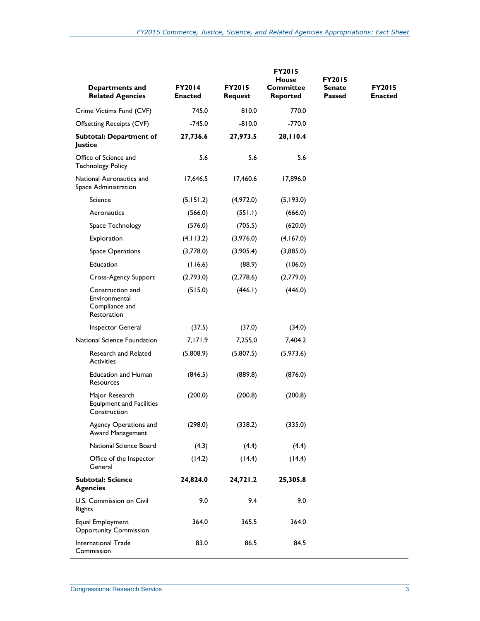| Departments and<br><b>Related Agencies</b>                         | FY2014<br>Enacted | <b>FY2015</b><br>Request | FY2015<br><b>House</b><br><b>Committee</b><br><b>Reported</b> | <b>FY2015</b><br><b>Senate</b><br>Passed | <b>FY2015</b><br>Enacted |
|--------------------------------------------------------------------|-------------------|--------------------------|---------------------------------------------------------------|------------------------------------------|--------------------------|
| Crime Victims Fund (CVF)                                           | 745.0             | 810.0                    | 770.0                                                         |                                          |                          |
| <b>Offsetting Receipts (CVF)</b>                                   | $-745.0$          | $-810.0$                 | $-770.0$                                                      |                                          |                          |
| <b>Subtotal: Department of</b><br>Justice                          | 27,736.6          | 27,973.5                 | 28,110.4                                                      |                                          |                          |
| Office of Science and<br><b>Technology Policy</b>                  | 5.6               | 5.6                      | 5.6                                                           |                                          |                          |
| National Aeronautics and<br>Space Administration                   | 17,646.5          | 17,460.6                 | 17,896.0                                                      |                                          |                          |
| Science                                                            | (5, 151.2)        | (4,972.0)                | (5, 193.0)                                                    |                                          |                          |
| Aeronautics                                                        | (566.0)           | (551.1)                  | (666.0)                                                       |                                          |                          |
| Space Technology                                                   | (576.0)           | (705.5)                  | (620.0)                                                       |                                          |                          |
| Exploration                                                        | (4, 113.2)        | (3,976.0)                | (4,167.0)                                                     |                                          |                          |
| Space Operations                                                   | (3,778.0)         | (3,905.4)                | (3,885.0)                                                     |                                          |                          |
| Education                                                          | (116.6)           | (88.9)                   | (106.0)                                                       |                                          |                          |
| Cross-Agency Support                                               | (2,793.0)         | (2,778.6)                | (2,779.0)                                                     |                                          |                          |
| Construction and<br>Environmental<br>Compliance and<br>Restoration | (515.0)           | (446.1)                  | (446.0)                                                       |                                          |                          |
| Inspector General                                                  | (37.5)            | (37.0)                   | (34.0)                                                        |                                          |                          |
| National Science Foundation                                        | 7,171.9           | 7,255.0                  | 7,404.2                                                       |                                          |                          |
| Research and Related<br><b>Activities</b>                          | (5,808.9)         | (5,807.5)                | (5,973.6)                                                     |                                          |                          |
| <b>Education and Human</b><br>Resources                            | (846.5)           | (889.8)                  | (876.0)                                                       |                                          |                          |
| Major Research<br><b>Equipment and Facilities</b><br>Construction  | (200.0)           | (200.8)                  | (200.8)                                                       |                                          |                          |
| Agency Operations and<br>Award Management                          | (298.0)           | (338.2)                  | (335.0)                                                       |                                          |                          |
| National Science Board                                             | (4.3)             | (4.4)                    | (4.4)                                                         |                                          |                          |
| Office of the Inspector<br>General                                 | (14.2)            | (14.4)                   | (14.4)                                                        |                                          |                          |
| <b>Subtotal: Science</b><br><b>Agencies</b>                        | 24,824.0          | 24,721.2                 | 25,305.8                                                      |                                          |                          |
| U.S. Commission on Civil<br>Rights                                 | 9.0               | 9.4                      | 9.0                                                           |                                          |                          |
| Equal Employment<br><b>Opportunity Commission</b>                  | 364.0             | 365.5                    | 364.0                                                         |                                          |                          |
| International Trade<br>Commission                                  | 83.0              | 86.5                     | 84.5                                                          |                                          |                          |